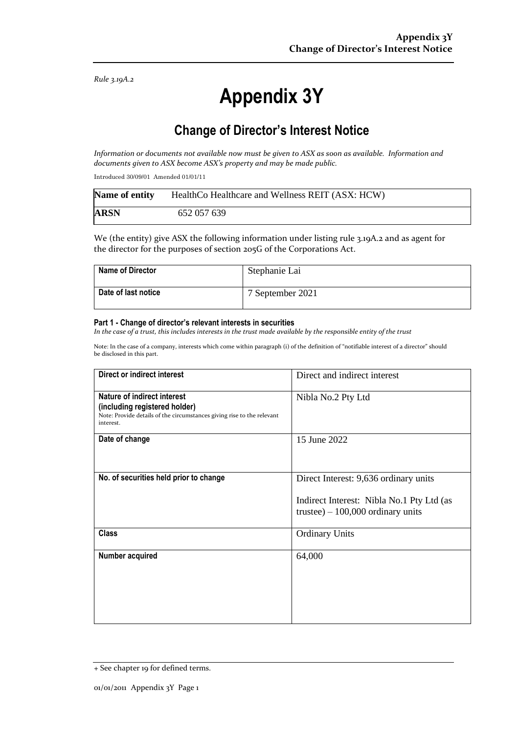*Rule 3.19A.2*

# **Appendix 3Y**

# **Change of Director's Interest Notice**

*Information or documents not available now must be given to ASX as soon as available. Information and documents given to ASX become ASX's property and may be made public.*

Introduced 30/09/01 Amended 01/01/11

| Name of entity | HealthCo Healthcare and Wellness REIT (ASX: HCW) |
|----------------|--------------------------------------------------|
| <b>ARSN</b>    | 652 057 639                                      |

We (the entity) give ASX the following information under listing rule 3.19A.2 and as agent for the director for the purposes of section 205G of the Corporations Act.

| <b>Name of Director</b> | Stephanie Lai    |
|-------------------------|------------------|
| Date of last notice     | 7 September 2021 |

#### **Part 1 - Change of director's relevant interests in securities**

*In the case of a trust, this includes interests in the trust made available by the responsible entity of the trust*

Note: In the case of a company, interests which come within paragraph (i) of the definition of "notifiable interest of a director" should be disclosed in this part.

| <b>Direct or indirect interest</b>                                                                                                                  | Direct and indirect interest                                                                                             |  |
|-----------------------------------------------------------------------------------------------------------------------------------------------------|--------------------------------------------------------------------------------------------------------------------------|--|
| Nature of indirect interest<br>(including registered holder)<br>Note: Provide details of the circumstances giving rise to the relevant<br>interest. | Nibla No.2 Pty Ltd                                                                                                       |  |
| Date of change                                                                                                                                      | 15 June 2022                                                                                                             |  |
| No. of securities held prior to change                                                                                                              | Direct Interest: 9,636 ordinary units<br>Indirect Interest: Nibla No.1 Pty Ltd (as<br>trustee) $-100,000$ ordinary units |  |
| <b>Class</b>                                                                                                                                        | <b>Ordinary Units</b>                                                                                                    |  |
| Number acquired                                                                                                                                     | 64,000                                                                                                                   |  |

<sup>+</sup> See chapter 19 for defined terms.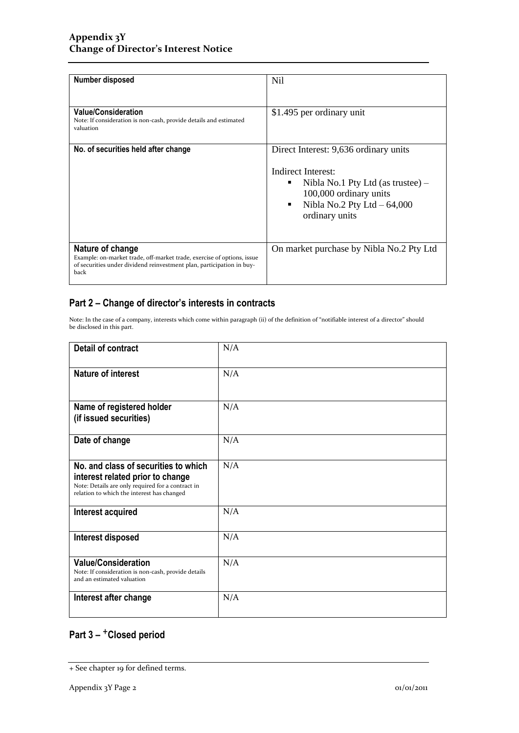| <b>Number disposed</b>                                                                                                                                                      | N <sub>il</sub>                                                                                                                                 |  |
|-----------------------------------------------------------------------------------------------------------------------------------------------------------------------------|-------------------------------------------------------------------------------------------------------------------------------------------------|--|
|                                                                                                                                                                             |                                                                                                                                                 |  |
| <b>Value/Consideration</b><br>Note: If consideration is non-cash, provide details and estimated<br>valuation                                                                | \$1.495 per ordinary unit                                                                                                                       |  |
| No. of securities held after change                                                                                                                                         | Direct Interest: 9,636 ordinary units                                                                                                           |  |
|                                                                                                                                                                             | Indirect Interest:<br>Nibla No.1 Pty Ltd (as trustee) $-$<br>٠<br>100,000 ordinary units<br>Nibla No.2 Pty Ltd $-64,000$<br>٠<br>ordinary units |  |
| Nature of change<br>Example: on-market trade, off-market trade, exercise of options, issue<br>of securities under dividend reinvestment plan, participation in buy-<br>back | On market purchase by Nibla No.2 Pty Ltd                                                                                                        |  |

### **Part 2 – Change of director's interests in contracts**

Note: In the case of a company, interests which come within paragraph (ii) of the definition of "notifiable interest of a director" should be disclosed in this part.

| <b>Detail of contract</b>                                                                                                                                                   | N/A |  |
|-----------------------------------------------------------------------------------------------------------------------------------------------------------------------------|-----|--|
| <b>Nature of interest</b>                                                                                                                                                   | N/A |  |
| Name of registered holder<br>(if issued securities)                                                                                                                         | N/A |  |
| Date of change                                                                                                                                                              | N/A |  |
| No. and class of securities to which<br>interest related prior to change<br>Note: Details are only required for a contract in<br>relation to which the interest has changed | N/A |  |
| Interest acquired                                                                                                                                                           | N/A |  |
| Interest disposed                                                                                                                                                           | N/A |  |
| <b>Value/Consideration</b><br>Note: If consideration is non-cash, provide details<br>and an estimated valuation                                                             | N/A |  |
| Interest after change                                                                                                                                                       | N/A |  |

## **Part 3 –** +**Closed period**

<sup>+</sup> See chapter 19 for defined terms.